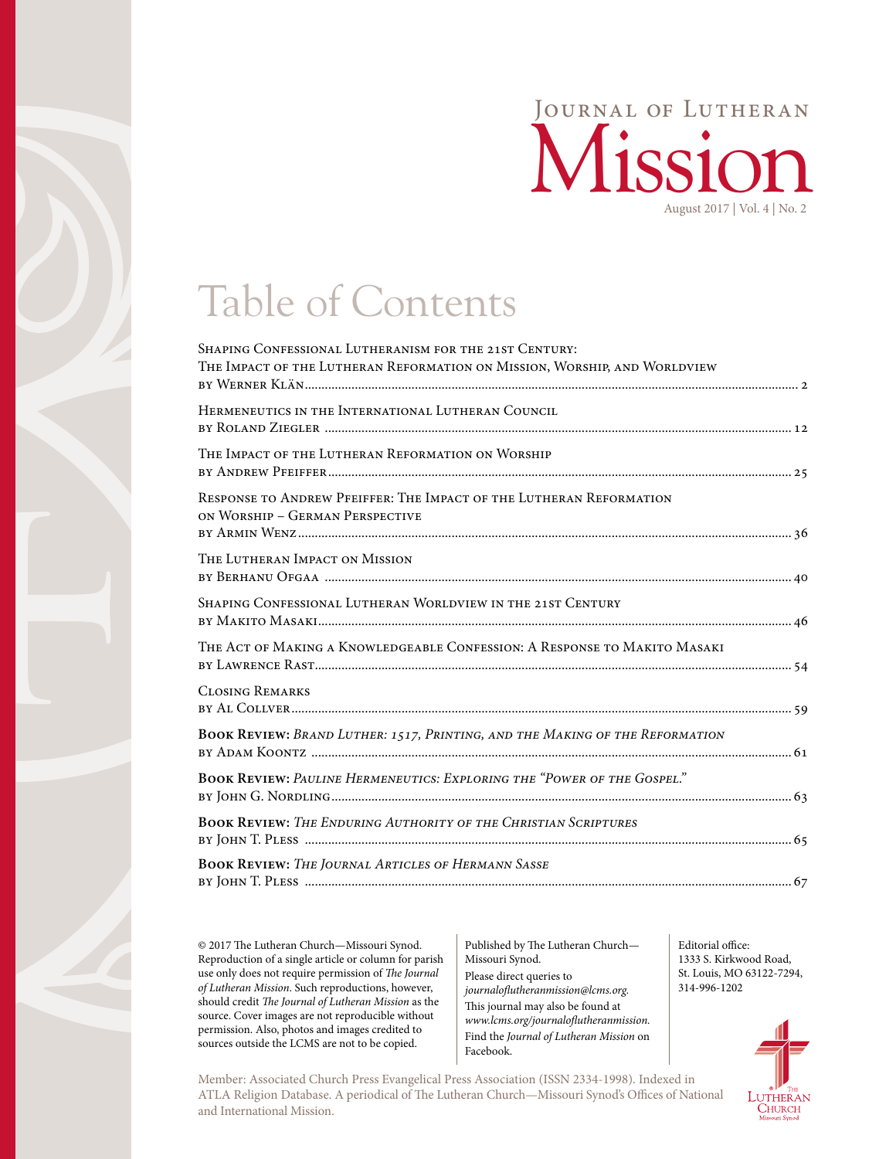

## Table of Contents

| SHAPING CONFESSIONAL LUTHERANISM FOR THE 21ST CENTURY:<br>THE IMPACT OF THE LUTHERAN REFORMATION ON MISSION, WORSHIP, AND WORLDVIEW |
|-------------------------------------------------------------------------------------------------------------------------------------|
| HERMENEUTICS IN THE INTERNATIONAL LUTHERAN COUNCIL                                                                                  |
| THE IMPACT OF THE LUTHERAN REFORMATION ON WORSHIP                                                                                   |
| RESPONSE TO ANDREW PFEIFFER: THE IMPACT OF THE LUTHERAN REFORMATION<br>ON WORSHIP - GERMAN PERSPECTIVE                              |
| THE LUTHERAN IMPACT ON MISSION                                                                                                      |
| SHAPING CONFESSIONAL LUTHERAN WORLDVIEW IN THE 21ST CENTURY                                                                         |
| THE ACT OF MAKING A KNOWLEDGEABLE CONFESSION: A RESPONSE TO MAKITO MASAKI                                                           |
| <b>CLOSING REMARKS</b>                                                                                                              |
| BOOK REVIEW: BRAND LUTHER: 1517, PRINTING, AND THE MAKING OF THE REFORMATION                                                        |
| <b>BOOK REVIEW: PAULINE HERMENEUTICS: EXPLORING THE "POWER OF THE GOSPEL."</b>                                                      |
| <b>BOOK REVIEW: THE ENDURING AUTHORITY OF THE CHRISTIAN SCRIPTURES</b>                                                              |
| <b>BOOK REVIEW:</b> THE JOURNAL ARTICLES OF HERMANN SASSE                                                                           |
|                                                                                                                                     |

© 2017 The Lutheran Church—Missouri Synod. Reproduction of a single article or column for parish use only does not require permission of *The Journal of Lutheran Mission*. Such reproductions, however, should credit *The Journal of Lutheran Mission* as the source. Cover images are not reproducible without permission. Also, photos and images credited to sources outside the LCMS are not to be copied.

Published by The Lutheran Church— Missouri Synod. Please direct queries to *journaloflutheranmission@lcms.org.* This journal may also be found at *[www.lcms.org/journaloflutheranmission.](http://www.lcms.org/journalofluthermission)* Find the *Journal of Lutheran Mission* on Facebook.

Member: Associated Church Press Evangelical Press Association (ISSN 2334-1998). Indexed in ATLA Religion Database. A periodical of The Lutheran Church—Missouri Synod's Offices of National and International Mission.

Editorial office: 1333 S. Kirkwood Road, St. Louis, MO 63122-7294, 314-996-1202

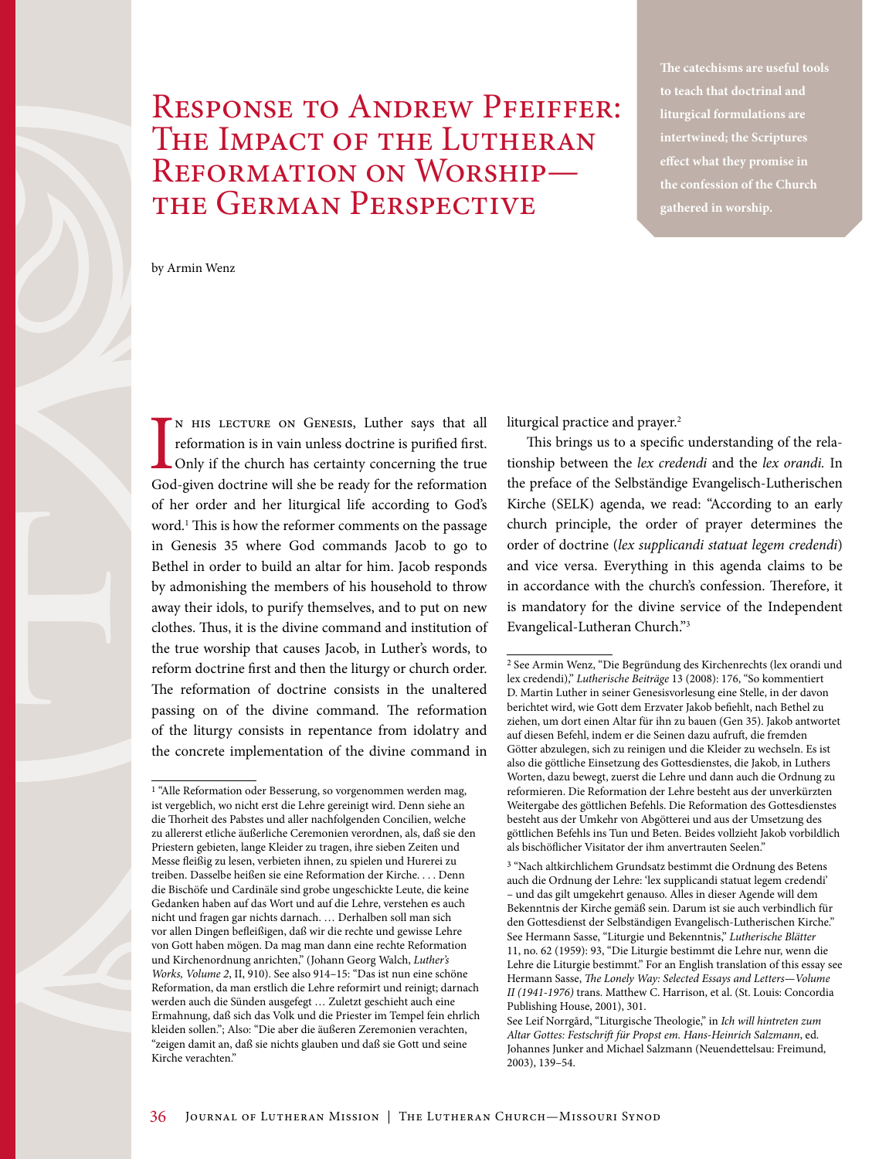## Response to Andrew Pfeiffer: The Impact of the Lutheran Reformation on Worship the German Perspective

**The catechisms are useful tools to teach that doctrinal and liturgical formulations are intertwined; the Scriptures effect what they promise in the confession of the Church gathered in worship.**

by Armin Wenz

IN HIS LECTURE ON GENESIS, Luther says that all reformation is in vain unless doctrine is purified first.<br>Only if the church has certainty concerning the true God-given doctrine will she be ready for the reformation n his lecture on Genesis, Luther says that all reformation is in vain unless doctrine is purified first. Only if the church has certainty concerning the true of her order and her liturgical life according to God's word.1 This is how the reformer comments on the passage in Genesis 35 where God commands Jacob to go to Bethel in order to build an altar for him. Jacob responds by admonishing the members of his household to throw away their idols, to purify themselves, and to put on new clothes. Thus, it is the divine command and institution of the true worship that causes Jacob, in Luther's words, to reform doctrine first and then the liturgy or church order. The reformation of doctrine consists in the unaltered passing on of the divine command. The reformation of the liturgy consists in repentance from idolatry and the concrete implementation of the divine command in

liturgical practice and prayer.<sup>2</sup>

This brings us to a specific understanding of the relationship between the *lex credendi* and the *lex orandi.* In the preface of the Selbständige Evangelisch-Lutherischen Kirche (SELK) agenda, we read: "According to an early church principle, the order of prayer determines the order of doctrine (*lex supplicandi statuat legem credendi*) and vice versa. Everything in this agenda claims to be in accordance with the church's confession. Therefore, it is mandatory for the divine service of the Independent Evangelical-Lutheran Church."3

<sup>&</sup>lt;sup>1</sup> "Alle Reformation oder Besserung, so vorgenommen werden mag, ist vergeblich, wo nicht erst die Lehre gereinigt wird. Denn siehe an die Thorheit des Pabstes und aller nachfolgenden Concilien, welche zu allererst etliche äußerliche Ceremonien verordnen, als, daß sie den Priestern gebieten, lange Kleider zu tragen, ihre sieben Zeiten und Messe fleißig zu lesen, verbieten ihnen, zu spielen und Hurerei zu treiben. Dasselbe heißen sie eine Reformation der Kirche. . . . Denn die Bischöfe und Cardinäle sind grobe ungeschickte Leute, die keine Gedanken haben auf das Wort und auf die Lehre, verstehen es auch nicht und fragen gar nichts darnach. … Derhalben soll man sich vor allen Dingen befleißigen, daß wir die rechte und gewisse Lehre von Gott haben mögen. Da mag man dann eine rechte Reformation und Kirchenordnung anrichten," (Johann Georg Walch, *Luther's Works, Volume 2*, II, 910). See also 914–15: "Das ist nun eine schöne Reformation, da man erstlich die Lehre reformirt und reinigt; darnach werden auch die Sünden ausgefegt … Zuletzt geschieht auch eine Ermahnung, daß sich das Volk und die Priester im Tempel fein ehrlich kleiden sollen."; Also: "Die aber die äußeren Zeremonien verachten, "zeigen damit an, daß sie nichts glauben und daß sie Gott und seine Kirche verachten."

<sup>2</sup> See Armin Wenz, "Die Begründung des Kirchenrechts (lex orandi und lex credendi)," *Lutherische Beiträge* 13 (2008): 176, "So kommentiert D. Martin Luther in seiner Genesisvorlesung eine Stelle, in der davon berichtet wird, wie Gott dem Erzvater Jakob befiehlt, nach Bethel zu ziehen, um dort einen Altar für ihn zu bauen (Gen 35). Jakob antwortet auf diesen Befehl, indem er die Seinen dazu aufruft, die fremden Götter abzulegen, sich zu reinigen und die Kleider zu wechseln. Es ist also die göttliche Einsetzung des Gottesdienstes, die Jakob, in Luthers Worten, dazu bewegt, zuerst die Lehre und dann auch die Ordnung zu reformieren. Die Reformation der Lehre besteht aus der unverkürzten Weitergabe des göttlichen Befehls. Die Reformation des Gottesdienstes besteht aus der Umkehr von Abgötterei und aus der Umsetzung des göttlichen Befehls ins Tun und Beten. Beides vollzieht Jakob vorbildlich als bischöflicher Visitator der ihm anvertrauten Seelen."

<sup>3 &</sup>quot;Nach altkirchlichem Grundsatz bestimmt die Ordnung des Betens auch die Ordnung der Lehre: 'lex supplicandi statuat legem credendi' – und das gilt umgekehrt genauso. Alles in dieser Agende will dem Bekenntnis der Kirche gemäß sein. Darum ist sie auch verbindlich für den Gottesdienst der Selbständigen Evangelisch-Lutherischen Kirche." See Hermann Sasse, "Liturgie und Bekenntnis," *Lutherische Blätter* 11, no. 62 (1959): 93, "Die Liturgie bestimmt die Lehre nur, wenn die Lehre die Liturgie bestimmt." For an English translation of this essay see Hermann Sasse, *The Lonely Way: Selected Essays and Letters—Volume II (1941-1976)* trans. Matthew C. Harrison, et al. (St. Louis: Concordia Publishing House, 2001), 301.

See Leif Norrgård, "Liturgische Theologie," in *Ich will hintreten zum Altar Gottes: Festschrift für Propst em. Hans-Heinrich Salzmann*, ed. Johannes Junker and Michael Salzmann (Neuendettelsau: Freimund, 2003), 139–54.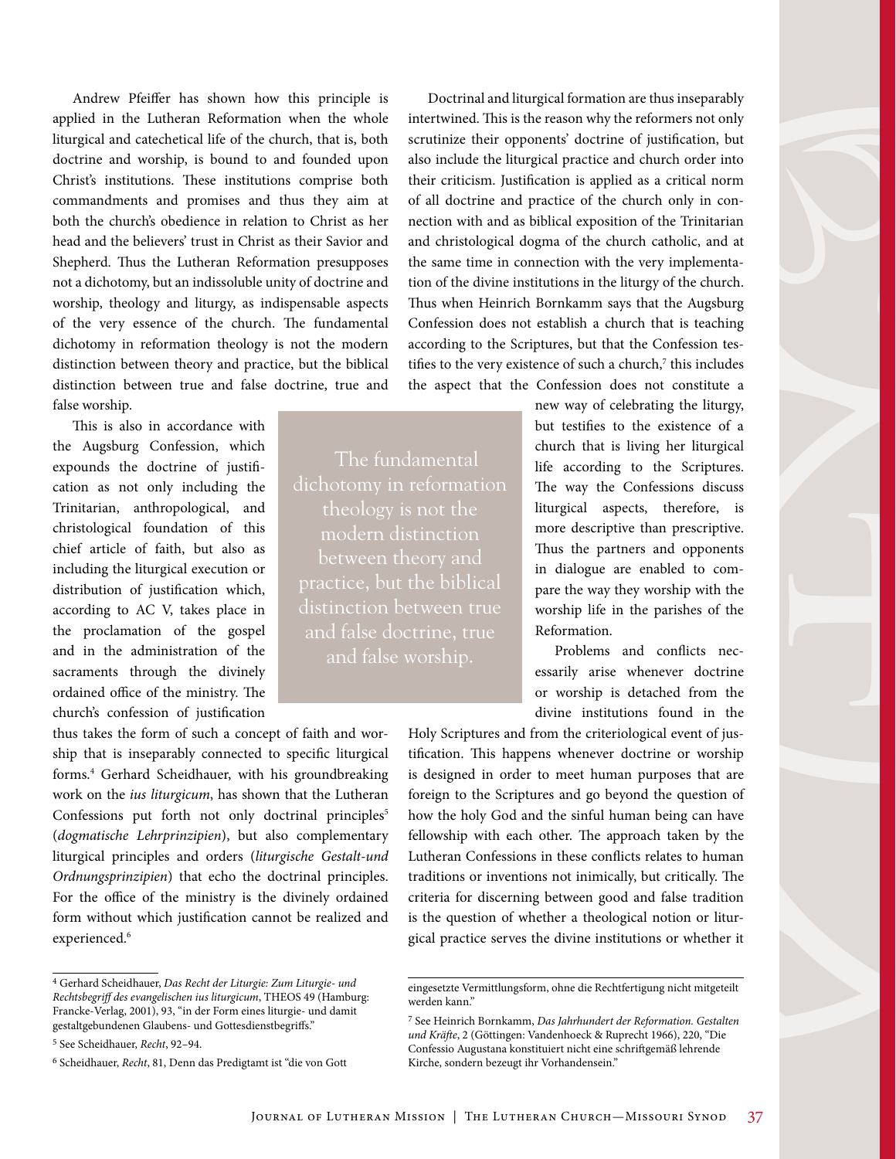Andrew Pfeiffer has shown how this principle is applied in the Lutheran Reformation when the whole liturgical and catechetical life of the church, that is, both doctrine and worship, is bound to and founded upon Christ's institutions. These institutions comprise both commandments and promises and thus they aim at both the church's obedience in relation to Christ as her head and the believers' trust in Christ as their Savior and Shepherd. Thus the Lutheran Reformation presupposes not a dichotomy, but an indissoluble unity of doctrine and worship, theology and liturgy, as indispensable aspects of the very essence of the church. The fundamental dichotomy in reformation theology is not the modern distinction between theory and practice, but the biblical distinction between true and false doctrine, true and false worship.

This is also in accordance with the Augsburg Confession, which expounds the doctrine of justification as not only including the Trinitarian, anthropological, and christological foundation of this chief article of faith, but also as including the liturgical execution or distribution of justification which, according to AC V, takes place in the proclamation of the gospel and in the administration of the sacraments through the divinely ordained office of the ministry. The church's confession of justification

thus takes the form of such a concept of faith and worship that is inseparably connected to specific liturgical forms.4 Gerhard Scheidhauer, with his groundbreaking work on the *ius liturgicum*, has shown that the Lutheran Confessions put forth not only doctrinal principles<sup>5</sup> (*dogmatische Lehrprinzipien*), but also complementary liturgical principles and orders (*liturgische Gestalt-und Ordnungsprinzipien*) that echo the doctrinal principles. For the office of the ministry is the divinely ordained form without which justification cannot be realized and experienced.<sup>6</sup>

The fundamental theology is not the modern distinction between theory and distinction between true and false doctrine, true

Doctrinal and liturgical formation are thus inseparably intertwined. This is the reason why the reformers not only scrutinize their opponents' doctrine of justification, but also include the liturgical practice and church order into their criticism. Justification is applied as a critical norm of all doctrine and practice of the church only in connection with and as biblical exposition of the Trinitarian and christological dogma of the church catholic, and at the same time in connection with the very implementation of the divine institutions in the liturgy of the church. Thus when Heinrich Bornkamm says that the Augsburg Confession does not establish a church that is teaching according to the Scriptures, but that the Confession testifies to the very existence of such a church, $7$  this includes the aspect that the Confession does not constitute a

> new way of celebrating the liturgy, but testifies to the existence of a church that is living her liturgical life according to the Scriptures. The way the Confessions discuss liturgical aspects, therefore, is more descriptive than prescriptive. Thus the partners and opponents in dialogue are enabled to compare the way they worship with the worship life in the parishes of the Reformation.

> Problems and conflicts necessarily arise whenever doctrine or worship is detached from the divine institutions found in the

Holy Scriptures and from the criteriological event of justification. This happens whenever doctrine or worship is designed in order to meet human purposes that are foreign to the Scriptures and go beyond the question of how the holy God and the sinful human being can have fellowship with each other. The approach taken by the Lutheran Confessions in these conflicts relates to human traditions or inventions not inimically, but critically. The criteria for discerning between good and false tradition is the question of whether a theological notion or liturgical practice serves the divine institutions or whether it

<sup>4</sup> Gerhard Scheidhauer, *Das Recht der Liturgie: Zum Liturgie- und Rechtsbegriff des evangelischen ius liturgicum*, THEOS 49 (Hamburg: Francke-Verlag, 2001), 93, "in der Form eines liturgie- und damit gestaltgebundenen Glaubens- und Gottesdienstbegriffs."

<sup>5</sup> See Scheidhauer, *Recht*, 92–94.

<sup>6</sup> Scheidhauer, *Recht*, 81, Denn das Predigtamt ist "die von Gott

eingesetzte Vermittlungsform, ohne die Rechtfertigung nicht mitgeteilt werden kann."

<sup>7</sup> See Heinrich Bornkamm, *Das Jahrhundert der Reformation. Gestalten und Kräfte*, 2 (Göttingen: Vandenhoeck & Ruprecht 1966), 220, "Die Confessio Augustana konstituiert nicht eine schriftgemäß lehrende Kirche, sondern bezeugt ihr Vorhandensein."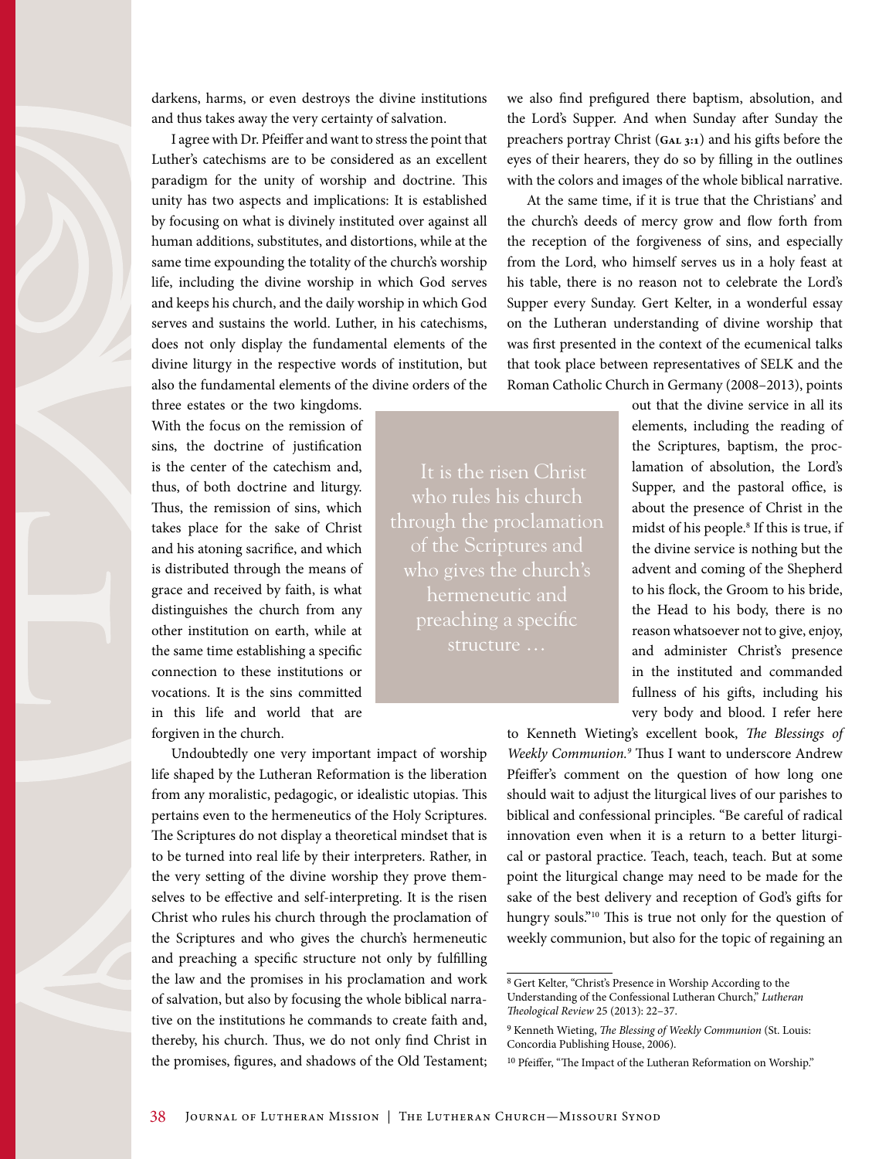darkens, harms, or even destroys the divine institutions and thus takes away the very certainty of salvation.

I agree with Dr. Pfeiffer and want to stress the point that Luther's catechisms are to be considered as an excellent paradigm for the unity of worship and doctrine. This unity has two aspects and implications: It is established by focusing on what is divinely instituted over against all human additions, substitutes, and distortions, while at the same time expounding the totality of the church's worship life, including the divine worship in which God serves and keeps his church, and the daily worship in which God serves and sustains the world. Luther, in his catechisms, does not only display the fundamental elements of the divine liturgy in the respective words of institution, but also the fundamental elements of the divine orders of the

three estates or the two kingdoms. With the focus on the remission of sins, the doctrine of justification is the center of the catechism and, thus, of both doctrine and liturgy. Thus, the remission of sins, which takes place for the sake of Christ and his atoning sacrifice, and which is distributed through the means of grace and received by faith, is what distinguishes the church from any other institution on earth, while at the same time establishing a specific connection to these institutions or vocations. It is the sins committed in this life and world that are forgiven in the church.

Undoubtedly one very important impact of worship life shaped by the Lutheran Reformation is the liberation from any moralistic, pedagogic, or idealistic utopias. This pertains even to the hermeneutics of the Holy Scriptures. The Scriptures do not display a theoretical mindset that is to be turned into real life by their interpreters. Rather, in the very setting of the divine worship they prove themselves to be effective and self-interpreting. It is the risen Christ who rules his church through the proclamation of the Scriptures and who gives the church's hermeneutic and preaching a specific structure not only by fulfilling the law and the promises in his proclamation and work of salvation, but also by focusing the whole biblical narrative on the institutions he commands to create faith and, thereby, his church. Thus, we do not only find Christ in the promises, figures, and shadows of the Old Testament; we also find prefigured there baptism, absolution, and the Lord's Supper. And when Sunday after Sunday the preachers portray Christ (GAL 3:1) and his gifts before the eyes of their hearers, they do so by filling in the outlines with the colors and images of the whole biblical narrative.

At the same time, if it is true that the Christians' and the church's deeds of mercy grow and flow forth from the reception of the forgiveness of sins, and especially from the Lord, who himself serves us in a holy feast at his table, there is no reason not to celebrate the Lord's Supper every Sunday. Gert Kelter, in a wonderful essay on the Lutheran understanding of divine worship that was first presented in the context of the ecumenical talks that took place between representatives of SELK and the Roman Catholic Church in Germany (2008–2013), points

It is the risen Christ who rules his church through the proclamation who gives the church's preaching a specific structure …

out that the divine service in all its elements, including the reading of the Scriptures, baptism, the proclamation of absolution, the Lord's Supper, and the pastoral office, is about the presence of Christ in the midst of his people.8 If this is true, if the divine service is nothing but the advent and coming of the Shepherd to his flock, the Groom to his bride, the Head to his body, there is no reason whatsoever not to give, enjoy, and administer Christ's presence in the instituted and commanded fullness of his gifts, including his very body and blood. I refer here

to Kenneth Wieting's excellent book, *The Blessings of*  Weekly Communion.<sup>9</sup> Thus I want to underscore Andrew Pfeiffer's comment on the question of how long one should wait to adjust the liturgical lives of our parishes to biblical and confessional principles. "Be careful of radical innovation even when it is a return to a better liturgical or pastoral practice. Teach, teach, teach. But at some point the liturgical change may need to be made for the sake of the best delivery and reception of God's gifts for hungry souls."<sup>10</sup> This is true not only for the question of weekly communion, but also for the topic of regaining an

<sup>8</sup> Gert Kelter, "Christ's Presence in Worship According to the Understanding of the Confessional Lutheran Church," *Lutheran Theological Review* 25 (2013): 22–37.

<sup>9</sup> Kenneth Wieting, *The Blessing of Weekly Communion* (St. Louis: Concordia Publishing House, 2006).

<sup>10</sup> Pfeiffer, "The Impact of the Lutheran Reformation on Worship."